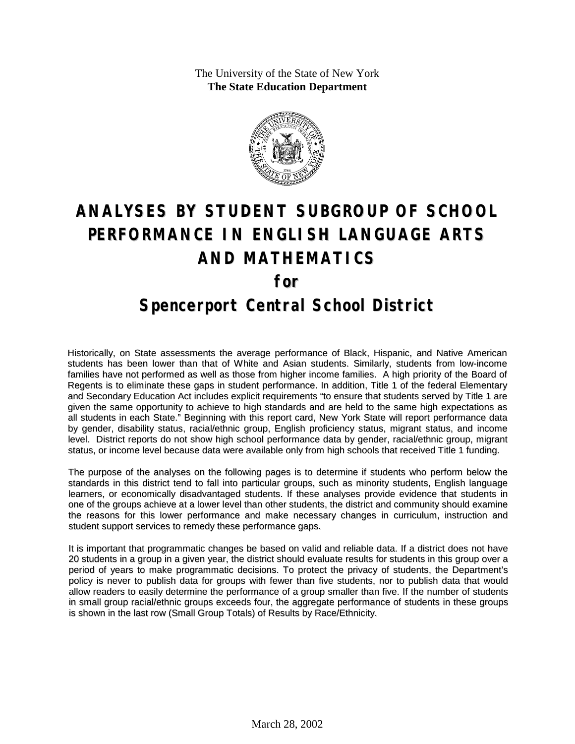The University of the State of New York **The State Education Department**



# **ANALYSES BY STUDENT SUBGROUP OF SCHOOL PERFORMANCE IN ENGLISH LANGUAGE ARTS AND MATHEMATICS for Spencerport Central School District**

Historically, on State assessments the average performance of Black, Hispanic, and Native American students has been lower than that of White and Asian students. Similarly, students from low-income families have not performed as well as those from higher income families. A high priority of the Board of Regents is to eliminate these gaps in student performance. In addition, Title 1 of the federal Elementary and Secondary Education Act includes explicit requirements "to ensure that students served by Title 1 are given the same opportunity to achieve to high standards and are held to the same high expectations as all students in each State." Beginning with this report card, New York State will report performance data by gender, disability status, racial/ethnic group, English proficiency status, migrant status, and income level. District reports do not show high school performance data by gender, racial/ethnic group, migrant status, or income level because data were available only from high schools that received Title 1 funding.

The purpose of the analyses on the following pages is to determine if students who perform below the standards in this district tend to fall into particular groups, such as minority students, English language learners, or economically disadvantaged students. If these analyses provide evidence that students in one of the groups achieve at a lower level than other students, the district and community should examine the reasons for this lower performance and make necessary changes in curriculum, instruction and student support services to remedy these performance gaps.

It is important that programmatic changes be based on valid and reliable data. If a district does not have 20 students in a group in a given year, the district should evaluate results for students in this group over a period of years to make programmatic decisions. To protect the privacy of students, the Department's policy is never to publish data for groups with fewer than five students, nor to publish data that would allow readers to easily determine the performance of a group smaller than five. If the number of students in small group racial/ethnic groups exceeds four, the aggregate performance of students in these groups is shown in the last row (Small Group Totals) of Results by Race/Ethnicity.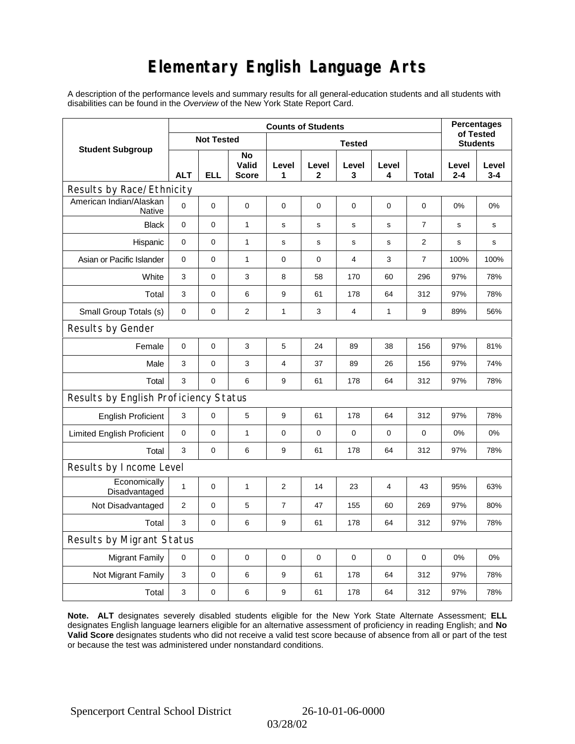# **Elementary English Language Arts**

A description of the performance levels and summary results for all general-education students and all students with disabilities can be found in the *Overview* of the New York State Report Card.

|                                          | <b>Counts of Students</b> |                   |                      |                |             |             |             |                | <b>Percentages</b><br>of Tested |                  |
|------------------------------------------|---------------------------|-------------------|----------------------|----------------|-------------|-------------|-------------|----------------|---------------------------------|------------------|
| <b>Student Subgroup</b>                  |                           | <b>Not Tested</b> |                      | <b>Tested</b>  |             |             |             |                | <b>Students</b>                 |                  |
|                                          | <b>ALT</b>                | <b>ELL</b>        | No<br>Valid<br>Score | Level<br>1     | Level<br>2  | Level<br>3  | Level<br>4  | Total          | Level<br>$2 - 4$                | Level<br>$3 - 4$ |
| Results by Race/Ethnicity                |                           |                   |                      |                |             |             |             |                |                                 |                  |
| American Indian/Alaskan<br><b>Native</b> | $\Omega$                  | 0                 | $\mathbf 0$          | $\mathbf 0$    | $\mathbf 0$ | 0           | $\mathbf 0$ | $\mathbf 0$    | 0%                              | 0%               |
| <b>Black</b>                             | 0                         | 0                 | $\mathbf{1}$         | s              | $\mathbf s$ | $\mathbf s$ | $\mathbf s$ | $\overline{7}$ | $\mathbf s$                     | $\mathbf s$      |
| Hispanic                                 | 0                         | 0                 | $\mathbf{1}$         | $\mathbf S$    | s           | s           | s           | 2              | s                               | s                |
| Asian or Pacific Islander                | 0                         | 0                 | $\mathbf{1}$         | $\mathbf 0$    | $\mathbf 0$ | 4           | 3           | $\overline{7}$ | 100%                            | 100%             |
| White                                    | 3                         | 0                 | 3                    | 8              | 58          | 170         | 60          | 296            | 97%                             | 78%              |
| Total                                    | 3                         | 0                 | 6                    | 9              | 61          | 178         | 64          | 312            | 97%                             | 78%              |
| Small Group Totals (s)                   | 0                         | 0                 | $\mathbf{2}$         | 1              | 3           | 4           | 1           | 9              | 89%                             | 56%              |
| Results by Gender                        |                           |                   |                      |                |             |             |             |                |                                 |                  |
| Female                                   | $\mathbf 0$               | 0                 | 3                    | $\mathbf 5$    | 24          | 89          | 38          | 156            | 97%                             | 81%              |
| Male                                     | 3                         | 0                 | 3                    | $\overline{4}$ | 37          | 89          | 26          | 156            | 97%                             | 74%              |
| Total                                    | 3                         | 0                 | 6                    | 9              | 61          | 178         | 64          | 312            | 97%                             | 78%              |
| Results by English Proficiency Status    |                           |                   |                      |                |             |             |             |                |                                 |                  |
| <b>English Proficient</b>                | 3                         | 0                 | 5                    | 9              | 61          | 178         | 64          | 312            | 97%                             | 78%              |
| <b>Limited English Proficient</b>        | 0                         | $\mathsf 0$       | $\mathbf{1}$         | $\pmb{0}$      | $\mathbf 0$ | 0           | $\mathbf 0$ | $\mathbf 0$    | 0%                              | 0%               |
| Total                                    | 3                         | 0                 | 6                    | 9              | 61          | 178         | 64          | 312            | 97%                             | 78%              |
| Results by Income Level                  |                           |                   |                      |                |             |             |             |                |                                 |                  |
| Economically<br>Disadvantaged            | $\mathbf{1}$              | 0                 | $\mathbf{1}$         | $\overline{2}$ | 14          | 23          | 4           | 43             | 95%                             | 63%              |
| Not Disadvantaged                        | $\overline{2}$            | 0                 | 5                    | $\overline{7}$ | 47          | 155         | 60          | 269            | 97%                             | 80%              |
| Total                                    | 3                         | 0                 | 6                    | 9              | 61          | 178         | 64          | 312            | 97%                             | 78%              |
| Results by Migrant Status                |                           |                   |                      |                |             |             |             |                |                                 |                  |
| <b>Migrant Family</b>                    | 0                         | 0                 | $\pmb{0}$            | $\mathbf 0$    | $\mathbf 0$ | 0           | $\mathbf 0$ | $\mathbf 0$    | 0%                              | 0%               |
| Not Migrant Family                       | 3                         | 0                 | 6                    | 9              | 61          | 178         | 64          | 312            | 97%                             | 78%              |
| Total                                    | 3                         | 0                 | 6                    | 9              | 61          | 178         | 64          | 312            | 97%                             | 78%              |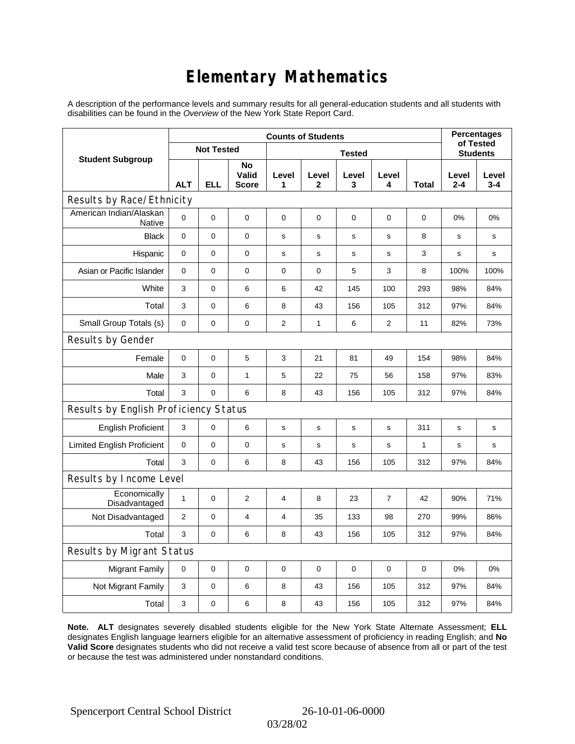# **Elementary Mathematics**

A description of the performance levels and summary results for all general-education students and all students with disabilities can be found in the *Overview* of the New York State Report Card.

|                                       | <b>Counts of Students</b> |                   |                             |                |              |             |                |                 | <b>Percentages</b><br>of Tested |                  |
|---------------------------------------|---------------------------|-------------------|-----------------------------|----------------|--------------|-------------|----------------|-----------------|---------------------------------|------------------|
| <b>Student Subgroup</b>               |                           | <b>Not Tested</b> |                             |                |              |             |                | <b>Students</b> |                                 |                  |
|                                       | <b>ALT</b>                | <b>ELL</b>        | No<br>Valid<br><b>Score</b> | Level<br>1     | Level<br>2   | Level<br>3  | Level<br>4     | Total           | Level<br>2-4                    | Level<br>$3 - 4$ |
| Results by Race/Ethnicity             |                           |                   |                             |                |              |             |                |                 |                                 |                  |
| American Indian/Alaskan<br>Native     | 0                         | $\mathbf 0$       | $\mathbf 0$                 | $\mathbf 0$    | $\mathbf 0$  | 0           | $\mathbf 0$    | $\mathbf 0$     | 0%                              | 0%               |
| <b>Black</b>                          | 0                         | 0                 | $\mathbf 0$                 | s              | S            | s           | $\mathbf s$    | 8               | s                               | s                |
| Hispanic                              | 0                         | $\mathbf 0$       | 0                           | s              | s            | s           | s              | 3               | s                               | s                |
| Asian or Pacific Islander             | $\mathbf 0$               | $\mathbf 0$       | 0                           | 0              | $\mathbf 0$  | 5           | 3              | 8               | 100%                            | 100%             |
| White                                 | 3                         | 0                 | 6                           | 6              | 42           | 145         | 100            | 293             | 98%                             | 84%              |
| Total                                 | 3                         | $\mathbf 0$       | 6                           | 8              | 43           | 156         | 105            | 312             | 97%                             | 84%              |
| Small Group Totals (s)                | 0                         | 0                 | 0                           | 2              | $\mathbf{1}$ | 6           | $\overline{2}$ | 11              | 82%                             | 73%              |
| Results by Gender                     |                           |                   |                             |                |              |             |                |                 |                                 |                  |
| Female                                | 0                         | 0                 | 5                           | 3              | 21           | 81          | 49             | 154             | 98%                             | 84%              |
| Male                                  | 3                         | 0                 | $\mathbf{1}$                | 5              | 22           | 75          | 56             | 158             | 97%                             | 83%              |
| Total                                 | 3                         | 0                 | 6                           | 8              | 43           | 156         | 105            | 312             | 97%                             | 84%              |
| Results by English Proficiency Status |                           |                   |                             |                |              |             |                |                 |                                 |                  |
| <b>English Proficient</b>             | 3                         | 0                 | 6                           | $\mathbf S$    | $\mathbf S$  | $\mathbf S$ | $\mathbf s$    | 311             | s                               | s                |
| <b>Limited English Proficient</b>     | 0                         | 0                 | $\pmb{0}$                   | $\mathbf s$    | $\mathbf s$  | s           | $\mathbf s$    | 1               | s                               | s                |
| Total                                 | 3                         | $\pmb{0}$         | 6                           | 8              | 43           | 156         | 105            | 312             | 97%                             | 84%              |
| Results by Income Level               |                           |                   |                             |                |              |             |                |                 |                                 |                  |
| Economically<br>Disadvantaged         | $\mathbf{1}$              | 0                 | 2                           | 4              | 8            | 23          | 7              | 42              | 90%                             | 71%              |
| Not Disadvantaged                     | $\overline{2}$            | 0                 | $\overline{4}$              | $\overline{4}$ | 35           | 133         | 98             | 270             | 99%                             | 86%              |
| Total                                 | 3                         | $\mathbf 0$       | 6                           | 8              | 43           | 156         | 105            | 312             | 97%                             | 84%              |
| Results by Migrant Status             |                           |                   |                             |                |              |             |                |                 |                                 |                  |
| <b>Migrant Family</b>                 | 0                         | 0                 | 0                           | 0              | 0            | 0           | $\mathbf 0$    | 0               | 0%                              | 0%               |
| Not Migrant Family                    | 3                         | 0                 | 6                           | 8              | 43           | 156         | 105            | 312             | 97%                             | 84%              |
| Total                                 | 3                         | 0                 | 6                           | 8              | 43           | 156         | 105            | 312             | 97%                             | 84%              |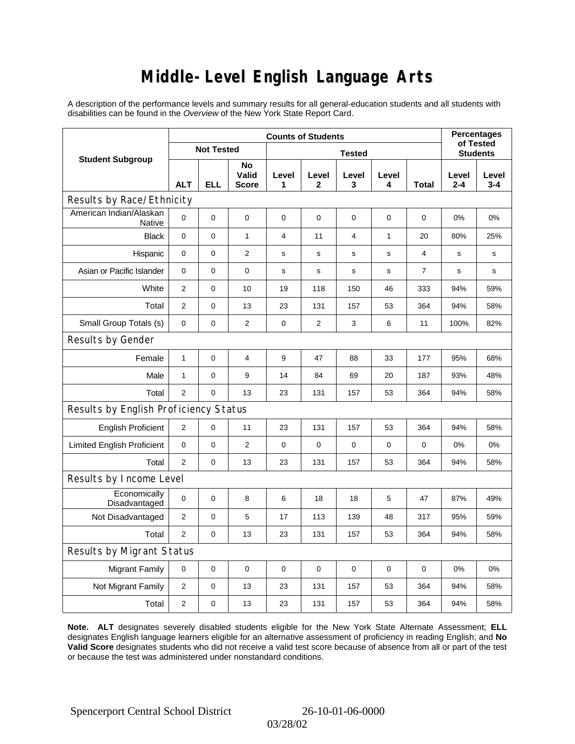### **Middle-Level English Language Arts**

A description of the performance levels and summary results for all general-education students and all students with disabilities can be found in the *Overview* of the New York State Report Card.

|                                       | <b>Counts of Students</b> |                   |                             |                |                |                |              |                | <b>Percentages</b><br>of Tested |                  |
|---------------------------------------|---------------------------|-------------------|-----------------------------|----------------|----------------|----------------|--------------|----------------|---------------------------------|------------------|
| <b>Student Subgroup</b>               |                           | <b>Not Tested</b> |                             | <b>Tested</b>  |                |                |              |                | <b>Students</b>                 |                  |
|                                       | <b>ALT</b>                | <b>ELL</b>        | No<br>Valid<br><b>Score</b> | Level<br>1     | Level<br>2     | Level<br>3     | Level<br>4   | Total          | Level<br>$2 - 4$                | Level<br>$3 - 4$ |
| Results by Race/Ethnicity             |                           |                   |                             |                |                |                |              |                |                                 |                  |
| American Indian/Alaskan<br>Native     | 0                         | $\mathbf 0$       | $\mathbf 0$                 | $\pmb{0}$      | $\mathbf 0$    | 0              | 0            | 0              | 0%                              | 0%               |
| <b>Black</b>                          | 0                         | 0                 | $\mathbf{1}$                | $\overline{4}$ | 11             | $\overline{4}$ | $\mathbf{1}$ | 20             | 80%                             | 25%              |
| Hispanic                              | 0                         | 0                 | $\mathbf{2}$                | $\mathbf s$    | $\mathbf s$    | $\mathbf s$    | $\mathbf s$  | 4              | $\mathbf s$                     | s                |
| Asian or Pacific Islander             | 0                         | 0                 | $\mathbf 0$                 | $\mathbf s$    | $\mathbf s$    | s              | $\mathbf s$  | $\overline{7}$ | s                               | s                |
| White                                 | $\overline{2}$            | 0                 | 10                          | 19             | 118            | 150            | 46           | 333            | 94%                             | 59%              |
| Total                                 | $\overline{2}$            | 0                 | 13                          | 23             | 131            | 157            | 53           | 364            | 94%                             | 58%              |
| Small Group Totals (s)                | $\mathbf 0$               | 0                 | $\mathbf{2}$                | $\pmb{0}$      | $\overline{2}$ | 3              | 6            | 11             | 100%                            | 82%              |
| Results by Gender                     |                           |                   |                             |                |                |                |              |                |                                 |                  |
| Female                                | $\mathbf{1}$              | $\mathsf 0$       | $\overline{\mathbf{4}}$     | 9              | 47             | 88             | 33           | 177            | 95%                             | 68%              |
| Male                                  | $\mathbf{1}$              | 0                 | 9                           | 14             | 84             | 69             | 20           | 187            | 93%                             | 48%              |
| Total                                 | $\overline{2}$            | 0                 | 13                          | 23             | 131            | 157            | 53           | 364            | 94%                             | 58%              |
| Results by English Proficiency Status |                           |                   |                             |                |                |                |              |                |                                 |                  |
| <b>English Proficient</b>             | 2                         | 0                 | 11                          | 23             | 131            | 157            | 53           | 364            | 94%                             | 58%              |
| <b>Limited English Proficient</b>     | 0                         | 0                 | $\mathbf{2}$                | $\pmb{0}$      | $\mathbf 0$    | 0              | 0            | 0              | 0%                              | 0%               |
| Total                                 | $\overline{2}$            | 0                 | 13                          | 23             | 131            | 157            | 53           | 364            | 94%                             | 58%              |
| Results by Income Level               |                           |                   |                             |                |                |                |              |                |                                 |                  |
| Economically<br>Disadvantaged         | 0                         | $\mathsf 0$       | 8                           | 6              | 18             | 18             | 5            | 47             | 87%                             | 49%              |
| Not Disadvantaged                     | $\overline{2}$            | 0                 | 5                           | 17             | 113            | 139            | 48           | 317            | 95%                             | 59%              |
| Total                                 | $\overline{2}$            | $\mathbf 0$       | 13                          | 23             | 131            | 157            | 53           | 364            | 94%                             | 58%              |
| Results by Migrant Status             |                           |                   |                             |                |                |                |              |                |                                 |                  |
| <b>Migrant Family</b>                 | $\mathbf 0$               | 0                 | $\pmb{0}$                   | 0              | $\mathbf 0$    | 0              | 0            | $\mathbf 0$    | 0%                              | 0%               |
| Not Migrant Family                    | $\overline{c}$            | 0                 | 13                          | 23             | 131            | 157            | 53           | 364            | 94%                             | 58%              |
| Total                                 | $\overline{2}$            | 0                 | 13                          | 23             | 131            | 157            | 53           | 364            | 94%                             | 58%              |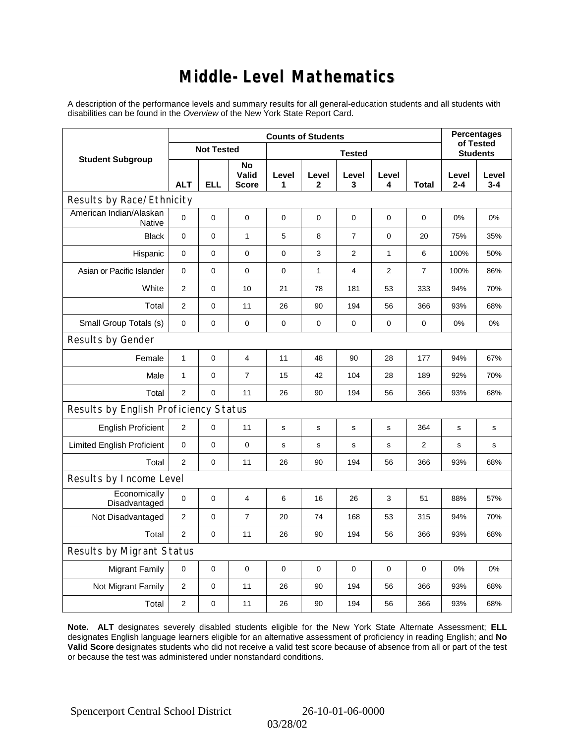### **Middle-Level Mathematics**

A description of the performance levels and summary results for all general-education students and all students with disabilities can be found in the *Overview* of the New York State Report Card.

|                                          | <b>Counts of Students</b> |                   |                             |             |                       |                |                 |                | <b>Percentages</b><br>of Tested |                  |
|------------------------------------------|---------------------------|-------------------|-----------------------------|-------------|-----------------------|----------------|-----------------|----------------|---------------------------------|------------------|
| <b>Student Subgroup</b>                  |                           | <b>Not Tested</b> |                             |             |                       |                | <b>Students</b> |                |                                 |                  |
|                                          | <b>ALT</b>                | <b>ELL</b>        | No<br>Valid<br><b>Score</b> | Level<br>1  | Level<br>$\mathbf{2}$ | Level<br>3     | Level<br>4      | <b>Total</b>   | Level<br>$2 - 4$                | Level<br>$3 - 4$ |
| Results by Race/Ethnicity                |                           |                   |                             |             |                       |                |                 |                |                                 |                  |
| American Indian/Alaskan<br><b>Native</b> | $\mathbf 0$               | 0                 | $\mathbf 0$                 | $\mathbf 0$ | $\mathbf 0$           | 0              | 0               | 0              | $0\%$                           | 0%               |
| <b>Black</b>                             | $\mathbf 0$               | 0                 | $\mathbf{1}$                | 5           | 8                     | $\overline{7}$ | $\mathbf 0$     | 20             | 75%                             | 35%              |
| Hispanic                                 | 0                         | 0                 | 0                           | 0           | 3                     | 2              | 1               | 6              | 100%                            | 50%              |
| Asian or Pacific Islander                | 0                         | 0                 | 0                           | $\mathbf 0$ | $\mathbf{1}$          | $\overline{4}$ | $\overline{2}$  | $\overline{7}$ | 100%                            | 86%              |
| White                                    | 2                         | 0                 | 10                          | 21          | 78                    | 181            | 53              | 333            | 94%                             | 70%              |
| Total                                    | 2                         | 0                 | 11                          | 26          | 90                    | 194            | 56              | 366            | 93%                             | 68%              |
| Small Group Totals (s)                   | $\mathbf 0$               | 0                 | $\pmb{0}$                   | $\pmb{0}$   | 0                     | 0              | 0               | 0              | 0%                              | 0%               |
| Results by Gender                        |                           |                   |                             |             |                       |                |                 |                |                                 |                  |
| Female                                   | $\mathbf{1}$              | 0                 | 4                           | 11          | 48                    | 90             | 28              | 177            | 94%                             | 67%              |
| Male                                     | $\mathbf{1}$              | 0                 | $\overline{7}$              | 15          | 42                    | 104            | 28              | 189            | 92%                             | 70%              |
| Total                                    | $\overline{2}$            | 0                 | 11                          | 26          | 90                    | 194            | 56              | 366            | 93%                             | 68%              |
| Results by English Proficiency Status    |                           |                   |                             |             |                       |                |                 |                |                                 |                  |
| <b>English Proficient</b>                | $\overline{c}$            | 0                 | 11                          | s           | s                     | s              | s               | 364            | s                               | s                |
| <b>Limited English Proficient</b>        | 0                         | 0                 | 0                           | s           | s                     | $\mathbf s$    | $\mathbf s$     | $\overline{2}$ | $\mathbf s$                     | s                |
| Total                                    | 2                         | 0                 | 11                          | 26          | 90                    | 194            | 56              | 366            | 93%                             | 68%              |
| Results by Income Level                  |                           |                   |                             |             |                       |                |                 |                |                                 |                  |
| Economically<br>Disadvantaged            | $\mathbf 0$               | 0                 | 4                           | 6           | 16                    | 26             | 3               | 51             | 88%                             | 57%              |
| Not Disadvantaged                        | $\mathbf{2}$              | 0                 | $\overline{7}$              | 20          | 74                    | 168            | 53              | 315            | 94%                             | 70%              |
| Total                                    | 2                         | 0                 | 11                          | 26          | 90                    | 194            | 56              | 366            | 93%                             | 68%              |
| <b>Results by Migrant Status</b>         |                           |                   |                             |             |                       |                |                 |                |                                 |                  |
| <b>Migrant Family</b>                    | $\mathbf 0$               | 0                 | 0                           | $\mathbf 0$ | 0                     | $\mathbf 0$    | $\mathbf 0$     | $\mathbf 0$    | 0%                              | 0%               |
| Not Migrant Family                       | 2                         | 0                 | 11                          | 26          | 90                    | 194            | 56              | 366            | 93%                             | 68%              |
| Total                                    | $\mathbf{2}$              | 0                 | 11                          | 26          | 90                    | 194            | 56              | 366            | 93%                             | 68%              |